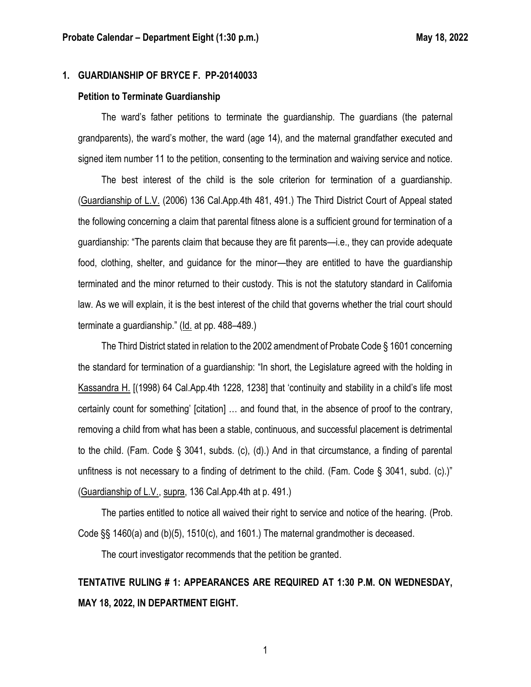#### **1. GUARDIANSHIP OF BRYCE F. PP-20140033**

#### **Petition to Terminate Guardianship**

The ward's father petitions to terminate the guardianship. The guardians (the paternal grandparents), the ward's mother, the ward (age 14), and the maternal grandfather executed and signed item number 11 to the petition, consenting to the termination and waiving service and notice.

The best interest of the child is the sole criterion for termination of a guardianship. (Guardianship of L.V. (2006) 136 Cal.App.4th 481, 491.) The Third District Court of Appeal stated the following concerning a claim that parental fitness alone is a sufficient ground for termination of a guardianship: "The parents claim that because they are fit parents—i.e., they can provide adequate food, clothing, shelter, and guidance for the minor—they are entitled to have the guardianship terminated and the minor returned to their custody. This is not the statutory standard in California law. As we will explain, it is the best interest of the child that governs whether the trial court should terminate a guardianship." (Id. at pp. 488–489.)

The Third District stated in relation to the 2002 amendment of Probate Code § 1601 concerning the standard for termination of a guardianship: "In short, the Legislature agreed with the holding in Kassandra H. [(1998) 64 Cal.App.4th 1228, 1238] that 'continuity and stability in a child's life most certainly count for something' [citation] … and found that, in the absence of proof to the contrary, removing a child from what has been a stable, continuous, and successful placement is detrimental to the child. (Fam. Code § 3041, subds. (c), (d).) And in that circumstance, a finding of parental unfitness is not necessary to a finding of detriment to the child. (Fam. Code § 3041, subd. (c).)" (Guardianship of L.V., supra, 136 Cal.App.4th at p. 491.)

The parties entitled to notice all waived their right to service and notice of the hearing. (Prob. Code §§ 1460(a) and (b)(5), 1510(c), and 1601.) The maternal grandmother is deceased.

The court investigator recommends that the petition be granted.

## **TENTATIVE RULING # 1: APPEARANCES ARE REQUIRED AT 1:30 P.M. ON WEDNESDAY, MAY 18, 2022, IN DEPARTMENT EIGHT.**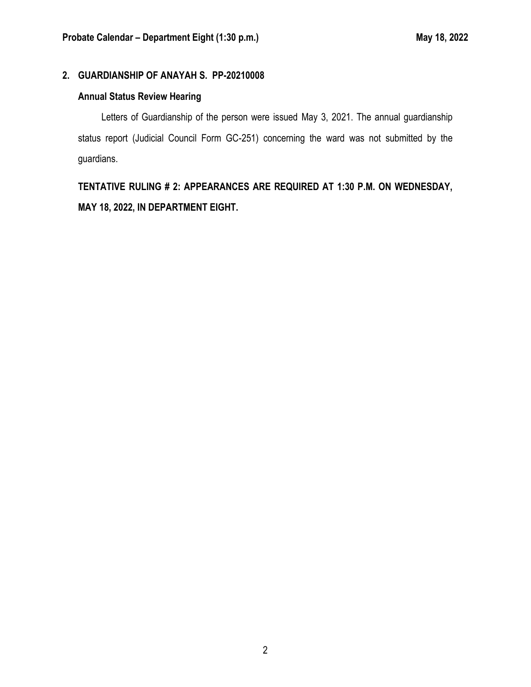#### **2. GUARDIANSHIP OF ANAYAH S. PP-20210008**

#### **Annual Status Review Hearing**

Letters of Guardianship of the person were issued May 3, 2021. The annual guardianship status report (Judicial Council Form GC-251) concerning the ward was not submitted by the guardians.

**TENTATIVE RULING # 2: APPEARANCES ARE REQUIRED AT 1:30 P.M. ON WEDNESDAY, MAY 18, 2022, IN DEPARTMENT EIGHT.**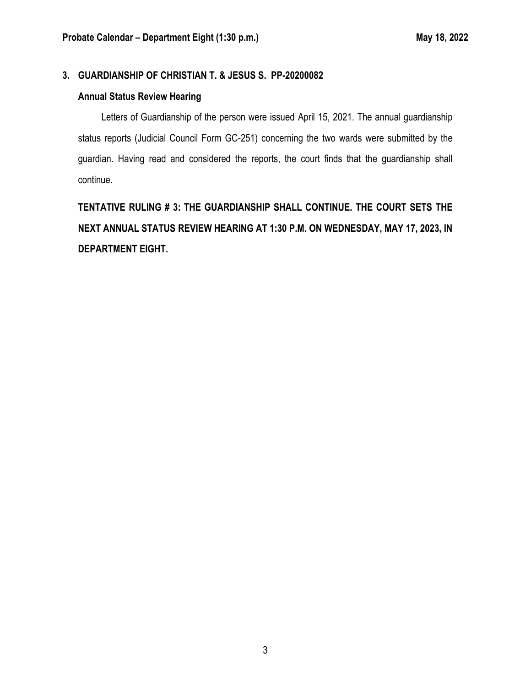#### **3. GUARDIANSHIP OF CHRISTIAN T. & JESUS S. PP-20200082**

#### **Annual Status Review Hearing**

Letters of Guardianship of the person were issued April 15, 2021. The annual guardianship status reports (Judicial Council Form GC-251) concerning the two wards were submitted by the guardian. Having read and considered the reports, the court finds that the guardianship shall continue.

**TENTATIVE RULING # 3: THE GUARDIANSHIP SHALL CONTINUE. THE COURT SETS THE NEXT ANNUAL STATUS REVIEW HEARING AT 1:30 P.M. ON WEDNESDAY, MAY 17, 2023, IN DEPARTMENT EIGHT.**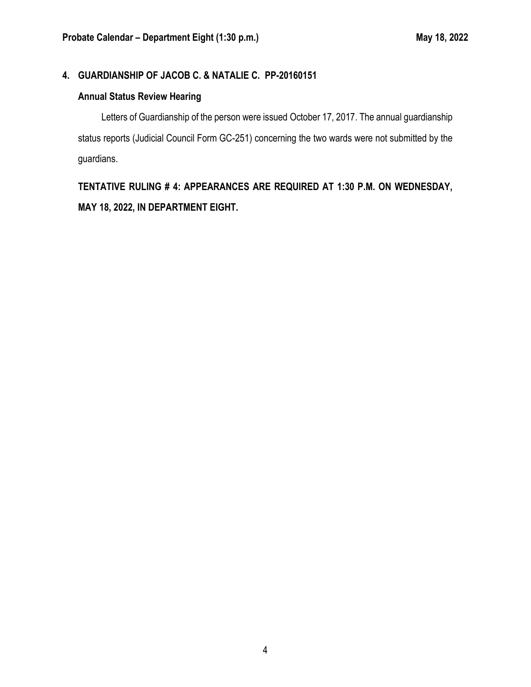### **4. GUARDIANSHIP OF JACOB C. & NATALIE C. PP-20160151**

#### **Annual Status Review Hearing**

Letters of Guardianship of the person were issued October 17, 2017. The annual guardianship status reports (Judicial Council Form GC-251) concerning the two wards were not submitted by the guardians.

**TENTATIVE RULING # 4: APPEARANCES ARE REQUIRED AT 1:30 P.M. ON WEDNESDAY, MAY 18, 2022, IN DEPARTMENT EIGHT.**